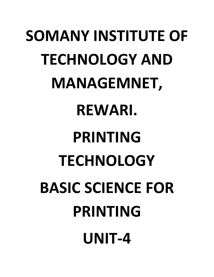# **SOMANY INSTITUTE OF TECHNOLOGY AND MANAGEMNET, REWARI. PRINTING TECHNOLOGY BASIC SCIENCE FOR PRINTING UNIT-4**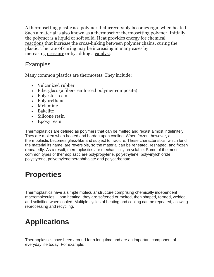A thermosetting plastic is a [polymer](https://www.thoughtco.com/definition-of-polymer-605912) that irreversibly becomes rigid when heated. Such a material is also known as a thermoset or thermosetting polymer. Initially, the polymer is a liquid or soft solid. Heat provides energy for [chemical](https://www.thoughtco.com/what-is-a-chemical-reaction-604042)  [reactions](https://www.thoughtco.com/what-is-a-chemical-reaction-604042) that increase the cross-linking between polymer chains, curing the plastic. The rate of curing may be increasing in many cases by increasing [pressure](https://www.thoughtco.com/definition-of-pressure-in-chemistry-604613) or by adding a [catalyst.](https://www.thoughtco.com/catalysts-and-catalysis-604034)

# **Examples**

Many common plastics are thermosets. They include:

- Vulcanized rubber
- Fiberglass (a fiber-reinforced polymer composite)
- Polyester resin
- Polyurethane
- Melamine
- Bakelite
- Silicone resin
- Epoxy resin

Thermoplastics are defined as polymers that can be melted and recast almost indefinitely. They are molten when heated and harden upon cooling. When frozen, however, a thermoplastic becomes glass-like and subject to fracture. These characteristics, which lend the material its name, are reversible, so the material can be reheated, reshaped, and frozen repeatedly. As a result, thermoplastics are mechanically recyclable. Some of the most common types of thermoplastic are polypropylene, polyethylene, polyvinylchloride, polystyrene, polyethylenetheraphthalate and polycarbonate.

# **Properties**

Thermoplastics have a simple molecular structure comprising chemically independent macromolecules. Upon heating, they are softened or melted, then shaped, formed, welded, and solidified when cooled. Multiple cycles of heating and cooling can be repeated, allowing reprocessing and recycling.

# **Applications**

Thermoplastics have been around for a long time and are an important component of everyday life today. For example: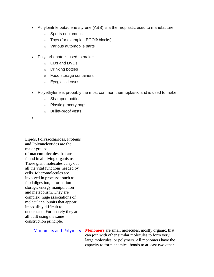- Acrylonitrile butadiene styrene (ABS) is a thermoplastic used to manufacture:
	- o Sports equipment.
	- o Toys (for example LEGO® blocks).
	- o Various automobile parts
- Polycarbonate is used to make:
	- o CDs and DVDs.
	- o Drinking bottles
	- o Food storage containers
	- o Eyeglass lenses.
- Polyethylene is probably the most common thermoplastic and is used to make:
	- o Shampoo bottles.
	- o Plastic grocery bags.
	- o Bullet-proof vests.

 $\bullet$ 

Lipids, Polysaccharides, Proteins and Polynucleotides are the major groups of **macromolecules** that are found in all living organisms. These giant molecules carry out all the vital functions needed by cells. Macromolecules are involved in processes such as food digestion, information storage, energy manipulation and metabolism. They are complex, huge associations of molecular subunits that appear impossibly difficult to understand. Fortunately they are all built using the same construction principle.

Monomers and Polymers **Monomers** are small molecules, mostly organic, that can join with other similar molecules to form very large molecules, or polymers. All monomers have the capacity to form chemical bonds to at least two other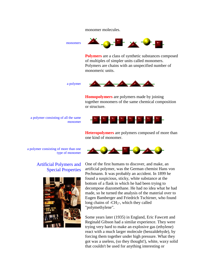monomer molecules.



**Polymers** are a class of synthetic substances composed of multiples of simpler units called monomers. Polymers are chains with an unspecified number of monomeric units.

a polymer



**Homopolymers** are polymers made by joining together monomers of the same chemical composition or structure.



**Heteropolymers** are polymers composed of more than one kind of monomer.

a polymer consisting of all the same monomer



a polymer consisting of more than one type of monomer

#### Artificial Polymers and Special Properties



One of the first humans to discover, and make, an artificial polymer, was the German chemist Hans von Pechmann. It was probably an accident. In 1899 he found a suspicious, sticky, white substance at the bottom of a flask in which he had been trying to decompose diazomethane. He had no idea what he had made, so he turned the analysis of the material over to Eugen Bamberger and Friedrich Tschirner, who found long chains of  $-CH_{2}$ , which they called "polymethylene".

Some years later (1935) in England, Eric Fawcett and Reginald Gibson had a similar experience. They were trying very hard to make an explosive gas (ethylene) react with a much larger molecule (benzaldehyde), by forcing them together under high pressure. What they got was a useless, (so they thought!), white, waxy solid that couldn't be used for anything interesting or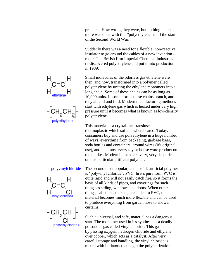practical. How wrong they were, but nothing much more was done with this "polyethylene" until the start of the Second World War.

Suddenly there was a need for a flexible, non-reactive insulator to go around the cables of a new invention radar. The British firm Imperial Chemical Industries re-discovered polyethylene and put it into production in 1939.

Small molecules of the odorless gas ethylene were then, and now, transformed into a polymer called polyethylene by uniting the ethylene monomers into a long chain. Some of these chains can be as long as 10,000 units. In some forms these chains branch, and they all coil and fold. Modern manufacturing methods start with ethylene gas which is heated under very high pressure until it becomes what is known as low-density polyethylene.

This material is a crystalline, transluscent thermoplastic which softens when heated. Today, consumers buy and use polyethylene in a huge number of ways, everything from packaging, garbage bags, soda bottles and containers, around wires (it's original use), and in almost every toy or house ware product on the market. Modern humans are very, very dependent on this particular artificial polymer.



polyvinylchoride

polyvinylchloride The second most popular, and useful, artificial polymer is "polyvinyl chloride", PVC. In it's pure form PVC is quite rigid and will not easily catch fire, so it forms the basis of all kinds of pipes, and coverings for such things as siding, windows and doors. When other things, called plasticizers, are added to PVC, the material becomes much more flexible and can be used to produce everything from garden hose to shower curtains.

> Such a universal, and safe, material has a dangerous start. The monomer used in it's synthesis is a deadly poisonous gas called vinyl chloride. This gas is made by passing oxygen, hydrogen chloride and ethylene over copper, which acts as a catalyst. After very careful storage and handling, the vinyl chloride is mixed with initiators that begin the polymerization



polyethylene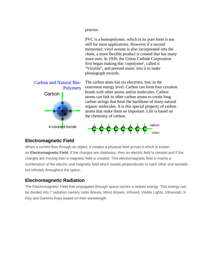process.

PVC is a homopolymer, which in its pure form is too stiff for most applications. However if a second momomer, vinyl acetate is also incorporated into the chain, a more flexible product is created that has many more uses. In 1930, the Union Carbide Corporation first began making this 'copolymer', called it "Vinylite", and pressed music into it to make phonograph records.



The carbon atom has six electrons, four in the outermost energy level. Carbon can form four covalent bonds with other atoms and/or molecules. Carbon atoms can link to other carbon atoms to create long carbon strings that form the backbone of many natural organic molecules. It is this special property of carbon atoms that make them so important. Life is based on the chemistry of carbon.



#### **Electromagnetic Field**

When a current flow through an object, it creates a physical field across it which is known as **Electromagnetic Field**. If the charges are stationary, then an electric field is created and if the charges are moving than a magnetic field is created. This electromagnetic field is mainly a combination of the electric and magnetic field which travels perpendicular to each other and spreads out infinitely throughout the space.

#### **Electromagnetic Radiation**

The Electromagnetic Field that propagates through space carries a radiant energy. This energy can be divided into 7 radiation namely radio Waves, Micro Waves, Infrared, Visible Lights, Ultraviolet, X-Ray and Gamma Rays based on their wavelength.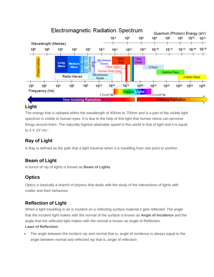

## **Light**

The energy that is radiated within the wavelength of 400nm to 700nm and is a part of the visible light spectrum is visible to human eyes. It is due to the help of this light that human retina can perceive things around them. The naturally highest attainable speed in this world is that of light and it is equal to  $3 \times 10^8 \text{ ms}^{-1}$ .

# **Ray of Light**

A Ray is defined as the path that a light traverse when it is travelling from one point to another.

## **Beam of Light**

A bunch of ray of lights is known as **Beam of Lights**.

## **Optics**

Optics is basically a branch of physics that deals with the study of the interactions of lights with matter and their behaviour.

## **Reflection of Light**

When a light travelling in air is incident on a reflecting surface material it gets reflected. The angle that the incident light makes with the normal of the surface is known as **Angle of Incidence** and the angle that the reflected light makes with the normal is known as Angle of Reflection. **Laws of Reflection:**

 The angle between the incident ray and normal that is, angle of incidence is always equal to the angle between normal and reflected ray that is, angle of reflection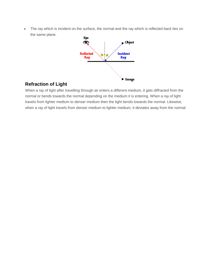• The ray which is incident on the surface, the normal and the ray which is reflected back lies on the same plane.



## **Refraction of Light**

When a ray of light after travelling through air enters a different medium, it gets diffracted from the normal or bends towards the normal depending on the medium it is entering. When a ray of light travels from lighter medium to denser medium then the light bends towards the normal. Likewise, when a ray of light travels from denser medium to lighter medium, it deviates away from the normal.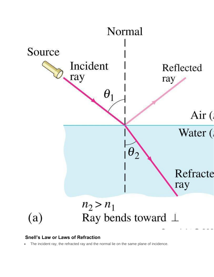

#### **Snell's Law or Laws of Refraction**

The incident ray, the refracted ray and the normal lie on the same plane of incidence.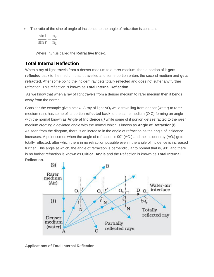The ratio of the sine of angle of incidence to the angle of refraction is constant.

$$
\frac{\sin i}{\sin r}=\frac{n_2}{n_1}
$$

Where,  $n_2/n_1$  is called the **Refractive Index**.

#### **Total Internal Reflection**

When a ray of light travels from a denser medium to a rarer medium, then a portion of it **gets reflected** back to the medium that it travelled and some portion enters the second medium and **gets refracted**. After some point, the incident ray gets totally reflected and does not suffer any further refraction. This reflection is known as **Total Internal Reflection**.

As we know that when a ray of light travels from a denser medium to rarer medium then it bends away from the normal.

Consider the example given below. A ray of light  $AO<sub>1</sub>$  while travelling from denser (water) to rarer medium (air), has some of its portion **reflected back** to the same medium  $(O_1C)$  forming an angle with the normal known as **Angle of Incidence (***i)* while some of it portion gets refracted to the rarer medium creating a deviated angle with the normal which is known as **Angle of Refraction(***r***)**. As seen from the diagram, there is an increase in the angle of refraction as the angle of incidence increases. A point comes when the angle of refraction is  $90^{\circ}$  (AO<sub>3</sub>) and the incident ray (AO<sub>4</sub>) gets totally reflected, after which there in no refraction possible even if the angle of incidence is increased further. This angle at which, the angle of refraction is perpendicular to normal that is, 90°, and there is no further refraction is known as **Critical Angle** and the Reflection is known as **Total Internal Reflection**.



**Applications of Total Internal Reflection:**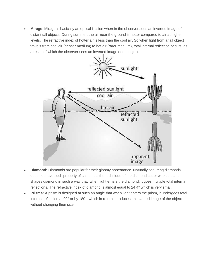**Mirage**: Mirage is basically an optical illusion wherein the observer sees an inverted image of distant tall objects. During summer, the air near the ground is hotter compared to air at higher levels. The refractive index of hotter air is less than the cool air. So when light from a tall object travels from cool air (denser medium) to hot air (rarer medium), total internal reflection occurs, as a result of which [the observer sees an inverted image of the object.](https://files.askiitians.com/cdn1/images/2017511-13320941-138-5-mirage.jpg)



- **Diamond:** Diamonds are popular for their gloomy appearance. Naturally occurring diamonds does not have such property of shine. It is the technique of the diamond cutter who cuts and shapes diamond in such a way that, when light enters the diamond, it goes multiple total internal reflections. The refractive index of diamond is almost equal to 24.4° which is very small.
- **Prisms:** A prism is designed at such an angle that when light enters the prism, it undergoes total internal reflection at 90° or by 180°, which in returns produces an inverted image of the object without changing their size.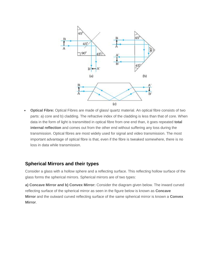

 **Optical Fibre:** Optical Fibres are made of glass/ quartz material. An optical fibre consists of two parts: a) core and b) cladding. The refractive index of the cladding is less than that of core. When data in the form of light is transmitted in optical fibre from one end than, it goes repeated **total internal reflection** and comes out from the other end without suffering any loss during the transmission. Optical fibres are most widely used for signal and video transmission. The most important advantage of optical fibre is that, even if the fibre is tweaked somewhere, there is no loss in data while transmission.

#### **Spherical Mirrors and their types**

Consider a glass with a hollow sphere and a reflecting surface. This reflecting hollow surface of the glass forms the spherical mirrors. Spherical mirrors are of two types:

**a) Concave Mirror and b) Convex Mirror:** Consider the diagram given below. The inward curved reflecting surface of the spherical mirror as seen in the figure below is known as **Concave Mirror** and the outward curved reflecting surface of the same spherical mirror is known a **Convex Mirror**.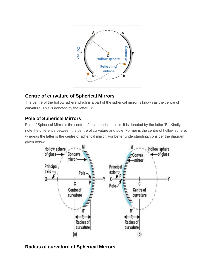

#### **Centre of curvature of Spherical Mirrors**

The centre of the hollow sphere which is a part of the spherical mirror is known as the centre of curvature. This is denoted by the letter **'C'**.

## **Pole of Spherical Mirrors**

Pole of Spherical Mirror is the centre of the spherical mirror. It is denoted by the letter '**P'.** Kindly, note the difference between the centre of curvature and pole. Former is the centre of hollow sphere, whereas the latter is the centre of spherical mirror. For better understanding, consider the diagram given below:



## **Radius of curvature of Spherical Mirrors**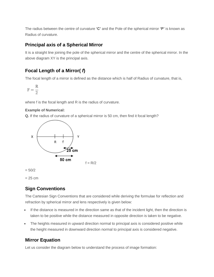The radius between the centre of curvature **'C'** and the Pole of the spherical mirror **'P'** is known as Radius of curvature.

#### **Principal axis of a Spherical Mirror**

It is a straight line joining the pole of the spherical mirror and the centre of the spherical mirror. In the above diagram XY is the principal axis.

## **Focal Length of a Mirror(** *f***)**

The focal length of a mirror is defined as the distance which is half of Radius of curvature, that is,

$$
F=\frac{R}{2}
$$

where f is the focal length and R is the radius of curvature.

#### **Example of Numerical:**

**Q.** If the radius of curvature of a spherical mirror is 50 cm, then find it focal length?



 $= 50/2$ 

 $= 25$  cm

## **Sign Conventions**

The Cartesian Sign Conventions that are considered while deriving the formulae for reflection and refraction by spherical mirror and lens respectively is given below:

- If the distance is measured in the direction same as that of the incident light, then the direction is taken to be positive while the distance measured in opposite direction is taken to be negative.
- The heights measured in upward direction normal to principal axis is considered positive while the height measured in downward direction normal to principal axis is considered negative.

## **Mirror Equation**

Let us consider the diagram below to understand the process of image formation: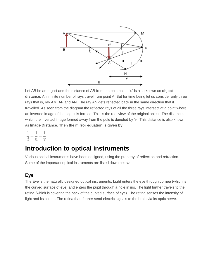

Let AB be an object and the distance of AB from the pole be 'u'. 'u' is also known as **object distance**. An infinite number of rays travel from point A. But for time being let us consider only three rays that is, ray AM, AP and AN. The ray AN gets reflected back in the same direction that it travelled. As seen from the diagram the reflected rays of all the three rays intersect at a point where an inverted image of the object is formed. This is the real view of the original object. The distance at which the inverted image formed away from the pole is denoted by 'v'. This distance is also known as **Image Distance**. **Then the mirror equation is given by**:

 $\frac{1}{f} = \frac{1}{u} = \frac{1}{v}$ 

# **Introduction to optical instruments**

Various optical instruments have been designed, using the property of reflection and refraction. Some of the important optical instruments are listed down below:

#### **Eye**

The Eye is the naturally designed optical instruments. Light enters the eye through cornea (which is the curved surface of eye) and enters the pupil through a hole in iris. The light further travels to the retina (which is covering the back of the curved surface of eye). The retina senses the intensity of light and its colour. The retina than further send electric signals to the brain via its optic nerve.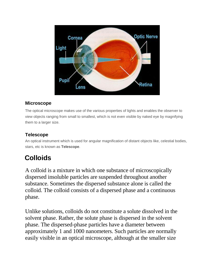

## **Microscope**

The optical microscope makes use of the various properties of lights and enables the observer to view objects ranging from small to smallest, which is not even visible by naked eye by magnifying them to a larger size.

## **Telescope**

An optical instrument which is used for angular magnification of distant objects like, celestial bodies, stars, etc is known as **Telescope**.

# **Colloids**

A colloid is a mixture in which one substance of microscopically dispersed insoluble particles are suspended throughout another substance. Sometimes the dispersed substance alone is called the colloid. The colloid consists of a dispersed phase and a continuous phase.

Unlike solutions, colloids do not constitute a solute dissolved in the solvent phase. Rather, the solute phase is dispersed in the solvent phase. The dispersed-phase particles have a diameter between approximately 1 and 1000 nanometers. Such particles are normally easily visible in an optical microscope, although at the smaller size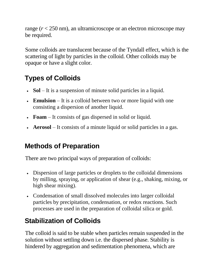range (*r* < 250 nm), an ultramicroscope or an electron microscope may be required.

Some colloids are translucent because of the Tyndall effect, which is the scattering of light by particles in the colloid. Other colloids may be opaque or have a slight color.

# **Types of Colloids**

- **Sol** It is a suspension of minute solid particles in a liquid.
- **Emulsion** It is a colloid between two or more liquid with one consisting a dispersion of another liquid.
- **Foam** It consists of gas dispersed in solid or liquid.
- **Aerosol** It consists of a minute liquid or solid particles in a gas.

# **Methods of Preparation**

There are two principal ways of preparation of colloids:

- Dispersion of large particles or droplets to the colloidal dimensions by milling, spraying, or application of shear (e.g., shaking, mixing, or high shear mixing).
- Condensation of small dissolved molecules into larger colloidal particles by precipitation, condensation, or redox reactions. Such processes are used in the preparation of colloidal silica or gold.

# **Stabilization of Colloids**

The colloid is said to be stable when particles remain suspended in the solution without settling down i.e. the dispersed phase. Stability is hindered by aggregation and sedimentation phenomena, which are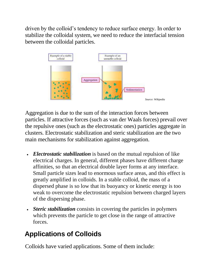driven by the colloid's tendency to reduce surface energy. In order to stabilize the colloidal system, we need to reduce the interfacial tension between the colloidal particles.



Aggregation is due to the sum of the interaction forces between particles. If attractive forces (such as van der Waals forces) prevail over the repulsive ones (such as the electrostatic ones) particles aggregate in clusters. Electrostatic stabilization and steric stabilization are the two main mechanisms for stabilization against aggregation.

- *Electrostatic stabilization* is based on the mutual repulsion of like electrical charges. In general, different phases have different charge affinities, so that an electrical double layer forms at any interface. Small particle sizes lead to enormous surface areas, and this effect is greatly amplified in colloids. In a stable colloid, the mass of a dispersed phase is so low that its buoyancy or kinetic energy is too weak to overcome the electrostatic repulsion between charged layers of the dispersing phase.
- *Steric stabilization* consists in covering the particles in polymers which prevents the particle to get close in the range of attractive forces.

# **Applications of Colloids**

Colloids have varied applications. Some of them include: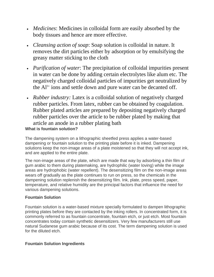- *Medicines*: Medicines in colloidal form are easily absorbed by the body tissues and hence are more effective.
- *Cleansing action of soap*: Soap solution is colloidal in nature. It removes the dirt particles either by adsorption or by emulsifying the greasy matter sticking to the cloth
- *Purification of water*: The precipitation of colloidal impurities present in water can be done by adding certain electrolytes like alum etc. The negatively charged colloidal particles of impurities get neutralized by the  $Al^{3+}$  ions and settle down and pure water can be decanted off.
- *Rubber industry:* Latex is a colloidal solution of negatively charged rubber particles. From latex, rubber can be obtained by coagulation. Rubber plated articles are prepared by depositing negatively charged rubber particles over the article to be rubber plated by making that article an anode in a rubber plating bath **What is fountain solution?**

The dampening system on a lithographic sheetfed press applies a water-based dampening or fountain solution to the printing plate before it is inked. Dampening solutions keep the non-image areas of a plate moistened so that they will not accept ink, and are applied to the entire plate.

The non-image areas of the plate, which are made that way by adsorbing a thin film of gum arabic to them during platemaking, are hydrophilic (water loving) while the image areas are hydrophobic (water repellent). The desensitizing film on the non-image areas wears off gradually as the plate continues to run on press, so the chemicals in the dampening solution replenish the desensitizing film. Ink, plate, press speed, paper, temperature, and relative humidity are the principal factors that influence the need for various dampening solutions.

#### **Fountain Solution**

Fountain solution is a water-based mixture specially formulated to dampen lithographic printing plates before they are contacted by the inking rollers. In concentrated form, it is commonly referred to as fountain concentrate, fountain etch, or just etch. Most fountain concentrates today contain synthetic desensitizers. Very few manufacturers still use natural Sudanese gum arabic because of its cost. The term dampening solution is used for the diluted etch.

#### **Fountain Solution Ingredients**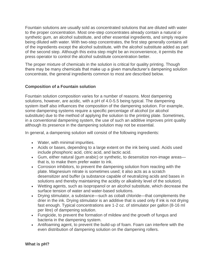Fountain solutions are usually sold as concentrated solutions that are diluted with water to the proper concentration. Most one-step concentrates already contain a natural or synthetic gum, an alcohol substitute, and other essential ingredients, and simply require being diluted with water. With two-step concentrates, the first step generally contains all of the ingredients except the alcohol substitute, with the alcohol substitute added as part of the second step. Although this extra step might be an inconvenience, it permits the press operator to control the alcohol substitute concentration better.

The proper mixture of chemicals in the solution is critical for quality printing. Though there may be many chemicals that make up a given manufacturer's dampening solution concentrate, the general ingredients common to most are described below.

#### **Composition of a Fountain solution**

Fountain solution composition varies for a number of reasons. Most dampening solutions, however, are acidic, with a pH of 4.0-5.5 being typical. The dampening system itself also influences the composition of the dampening solution. For example, some dampening systems require a specific percentage of alcohol (or alcohol substitute) due to the method of applying the solution to the printing plate. Sometimes, in a conventional dampening system, the use of such an additive improves print quality although its presence in the dampening solution may not be essential.

In general, a dampening solution will consist of the following ingredients:

- Water, with minimal impurities.
- Acids or bases, depending to a large extent on the ink being used. Acids used include phosphoric acid, citric acid, and lactic acid.
- Gum, either natural (gum arabic) or synthetic, to desensitize non-image areas that is, to make them prefer water to ink.
- Corrosion inhibitors, to prevent the dampening solution from reacting with the plate. Magnesium nitrate is sometimes used; it also acts as a scratch desensitizer and buffer (a substance capable of neutralizing acids and bases in solutions and thereby maintaining the acidity or alkalinity level of the solution).
- Wetting agents, such as isopropanol or an alcohol substitute, which decrease the surface tension of water and water-based solutions.
- Drying stimulator, a substance—such as cobalt chloride—that complements the drier in the ink. Drying stimulator is an additive that is used only if ink is not drying fast enough. Typical concentrations are 1-2 oz. of stimulator per gallon (8-16 ml per litre) of dampening solution.
- Fungicide, to prevent the formation of mildew and the growth of fungus and bacteria in the dampening system.
- Antifoaming agent, to prevent the build-up of foam. Foam can interfere with the even distribution of dampening solution on the dampening rollers.

**What is pH?**